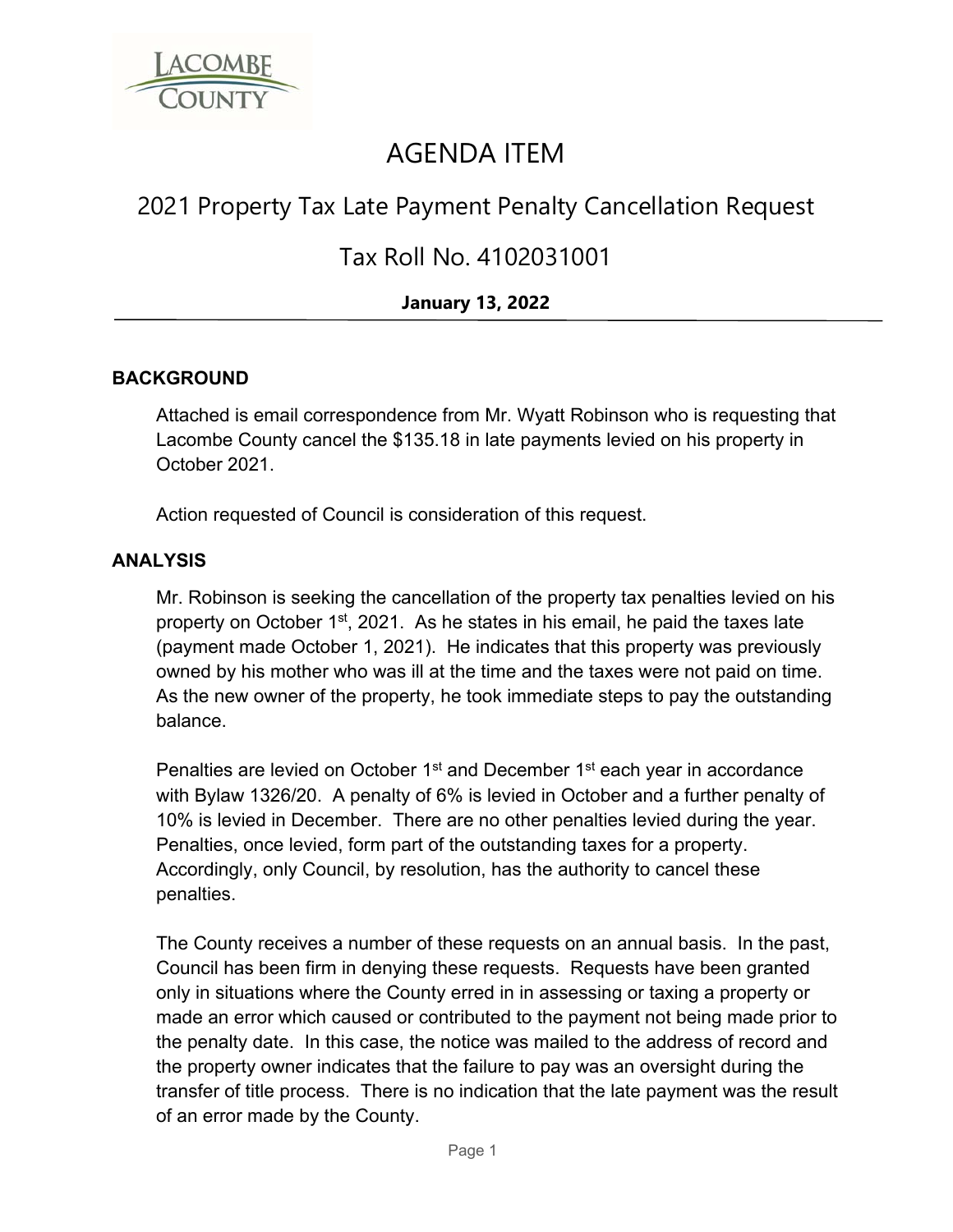

# AGENDA ITEM

# 2021 Property Tax Late Payment Penalty Cancellation Request

## Tax Roll No. 4102031001

### **January 13, 2022**

### **BACKGROUND**

Attached is email correspondence from Mr. Wyatt Robinson who is requesting that Lacombe County cancel the \$135.18 in late payments levied on his property in October 2021.

Action requested of Council is consideration of this request.

### **ANALYSIS**

Mr. Robinson is seeking the cancellation of the property tax penalties levied on his property on October  $1<sup>st</sup>$ , 2021. As he states in his email, he paid the taxes late (payment made October 1, 2021). He indicates that this property was previously owned by his mother who was ill at the time and the taxes were not paid on time. As the new owner of the property, he took immediate steps to pay the outstanding balance.

Penalties are levied on October 1<sup>st</sup> and December 1<sup>st</sup> each year in accordance with Bylaw 1326/20. A penalty of 6% is levied in October and a further penalty of 10% is levied in December. There are no other penalties levied during the year. Penalties, once levied, form part of the outstanding taxes for a property. Accordingly, only Council, by resolution, has the authority to cancel these penalties.

The County receives a number of these requests on an annual basis. In the past, Council has been firm in denying these requests. Requests have been granted only in situations where the County erred in in assessing or taxing a property or made an error which caused or contributed to the payment not being made prior to the penalty date. In this case, the notice was mailed to the address of record and the property owner indicates that the failure to pay was an oversight during the transfer of title process. There is no indication that the late payment was the result of an error made by the County.